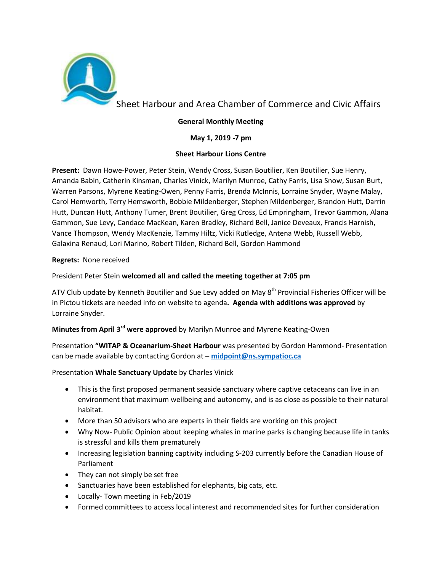

Sheet Harbour and Area Chamber of Commerce and Civic Affairs

# **General Monthly Meeting**

**May 1, 2019 -7 pm** 

## **Sheet Harbour Lions Centre**

**Present:** Dawn Howe-Power, Peter Stein, Wendy Cross, Susan Boutilier, Ken Boutilier, Sue Henry, Amanda Babin, Catherin Kinsman, Charles Vinick, Marilyn Munroe, Cathy Farris, Lisa Snow, Susan Burt, Warren Parsons, Myrene Keating-Owen, Penny Farris, Brenda McInnis, Lorraine Snyder, Wayne Malay, Carol Hemworth, Terry Hemsworth, Bobbie Mildenberger, Stephen Mildenberger, Brandon Hutt, Darrin Hutt, Duncan Hutt, Anthony Turner, Brent Boutilier, Greg Cross, Ed Empringham, Trevor Gammon, Alana Gammon, Sue Levy, Candace MacKean, Karen Bradley, Richard Bell, Janice Deveaux, Francis Harnish, Vance Thompson, Wendy MacKenzie, Tammy Hiltz, Vicki Rutledge, Antena Webb, Russell Webb, Galaxina Renaud, Lori Marino, Robert Tilden, Richard Bell, Gordon Hammond

**Regrets:** None received

## President Peter Stein **welcomed all and called the meeting together at 7:05 pm**

ATV Club update by Kenneth Boutilier and Sue Levy added on May 8<sup>th</sup> Provincial Fisheries Officer will be in Pictou tickets are needed info on website to agenda**. Agenda with additions was approved** by Lorraine Snyder.

## **Minutes from April 3rd were approved** by Marilyn Munroe and Myrene Keating-Owen

Presentation **"WITAP & Oceanarium-Sheet Harbour** was presented by Gordon Hammond- Presentation can be made available by contacting Gordon at **– [midpoint@ns.sympatioc.ca](mailto:midpoint@ns.sympatioc.ca)**

### Presentation **Whale Sanctuary Update** by Charles Vinick

- This is the first proposed permanent seaside sanctuary where captive cetaceans can live in an environment that maximum wellbeing and autonomy, and is as close as possible to their natural habitat.
- More than 50 advisors who are experts in their fields are working on this project
- Why Now- Public Opinion about keeping whales in marine parks is changing because life in tanks is stressful and kills them prematurely
- Increasing legislation banning captivity including S-203 currently before the Canadian House of Parliament
- They can not simply be set free
- Sanctuaries have been established for elephants, big cats, etc.
- Locally- Town meeting in Feb/2019
- Formed committees to access local interest and recommended sites for further consideration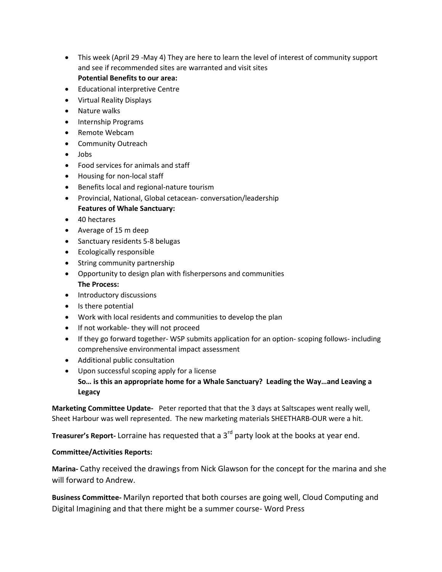- This week (April 29 -May 4) They are here to learn the level of interest of community support and see if recommended sites are warranted and visit sites **Potential Benefits to our area:**
- Educational interpretive Centre
- Virtual Reality Displays
- Nature walks
- Internship Programs
- Remote Webcam
- Community Outreach
- Jobs
- Food services for animals and staff
- Housing for non-local staff
- **•** Benefits local and regional-nature tourism
- Provincial, National, Global cetacean- conversation/leadership **Features of Whale Sanctuary:**
- 40 hectares
- Average of 15 m deep
- Sanctuary residents 5-8 belugas
- Ecologically responsible
- String community partnership
- Opportunity to design plan with fisherpersons and communities **The Process:**
- Introductory discussions
- Is there potential
- Work with local residents and communities to develop the plan
- If not workable- they will not proceed
- If they go forward together-WSP submits application for an option-scoping follows- including comprehensive environmental impact assessment
- Additional public consultation
- Upon successful scoping apply for a license **So… is this an appropriate home for a Whale Sanctuary? Leading the Way…and Leaving a Legacy**

**Marketing Committee Update-** Peter reported that that the 3 days at Saltscapes went really well, Sheet Harbour was well represented. The new marketing materials SHEETHARB-OUR were a hit.

**Treasurer's Report-** Lorraine has requested that a 3<sup>rd</sup> party look at the books at year end.

### **Committee/Activities Reports:**

**Marina-** Cathy received the drawings from Nick Glawson for the concept for the marina and she will forward to Andrew.

**Business Committee-** Marilyn reported that both courses are going well, Cloud Computing and Digital Imagining and that there might be a summer course- Word Press